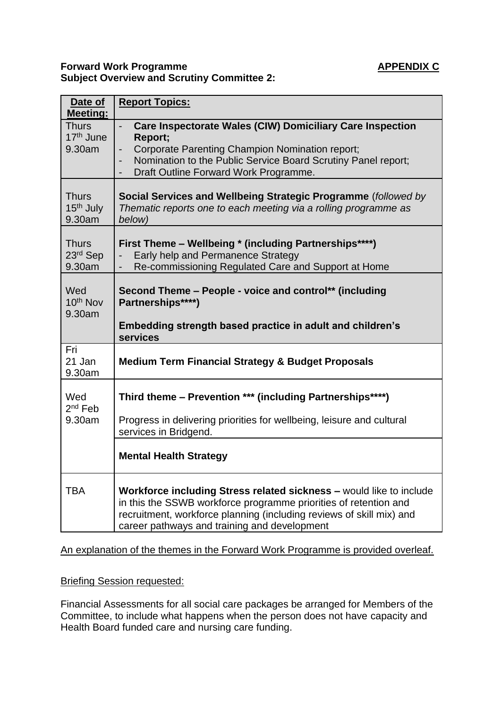## **Forward Work Programme APPENDIX C Subject Overview and Scrutiny Committee 2:**

| Date of<br><b>Meeting:</b>                      | <b>Report Topics:</b>                                                                                                                                                                                                                                           |
|-------------------------------------------------|-----------------------------------------------------------------------------------------------------------------------------------------------------------------------------------------------------------------------------------------------------------------|
| <b>Thurs</b><br>17 <sup>th</sup> June<br>9.30am | Care Inspectorate Wales (CIW) Domiciliary Care Inspection<br>Report;<br>Corporate Parenting Champion Nomination report;<br>$\overline{a}$<br>Nomination to the Public Service Board Scrutiny Panel report;<br>Draft Outline Forward Work Programme.             |
| <b>Thurs</b><br>15 <sup>th</sup> July<br>9.30am | Social Services and Wellbeing Strategic Programme (followed by<br>Thematic reports one to each meeting via a rolling programme as<br>below)                                                                                                                     |
| <b>Thurs</b><br>23rd Sep<br>9.30am              | First Theme - Wellbeing * (including Partnerships****)<br>Early help and Permanence Strategy<br>Re-commissioning Regulated Care and Support at Home                                                                                                             |
| Wed<br>10 <sup>th</sup> Nov<br>9.30am           | Second Theme - People - voice and control** (including<br>Partnerships****)                                                                                                                                                                                     |
|                                                 | Embedding strength based practice in adult and children's<br>services                                                                                                                                                                                           |
| Fri<br>21 Jan<br>9.30am                         | <b>Medium Term Financial Strategy &amp; Budget Proposals</b>                                                                                                                                                                                                    |
| Wed<br>$2nd$ Feb                                | Third theme - Prevention *** (including Partnerships****)                                                                                                                                                                                                       |
| 9.30am                                          | Progress in delivering priorities for wellbeing, leisure and cultural<br>services in Bridgend.                                                                                                                                                                  |
|                                                 | <b>Mental Health Strategy</b>                                                                                                                                                                                                                                   |
| <b>TBA</b>                                      | Workforce including Stress related sickness - would like to include<br>in this the SSWB workforce programme priorities of retention and<br>recruitment, workforce planning (including reviews of skill mix) and<br>career pathways and training and development |

## An explanation of the themes in the Forward Work Programme is provided overleaf.

## Briefing Session requested:

Financial Assessments for all social care packages be arranged for Members of the Committee, to include what happens when the person does not have capacity and Health Board funded care and nursing care funding.